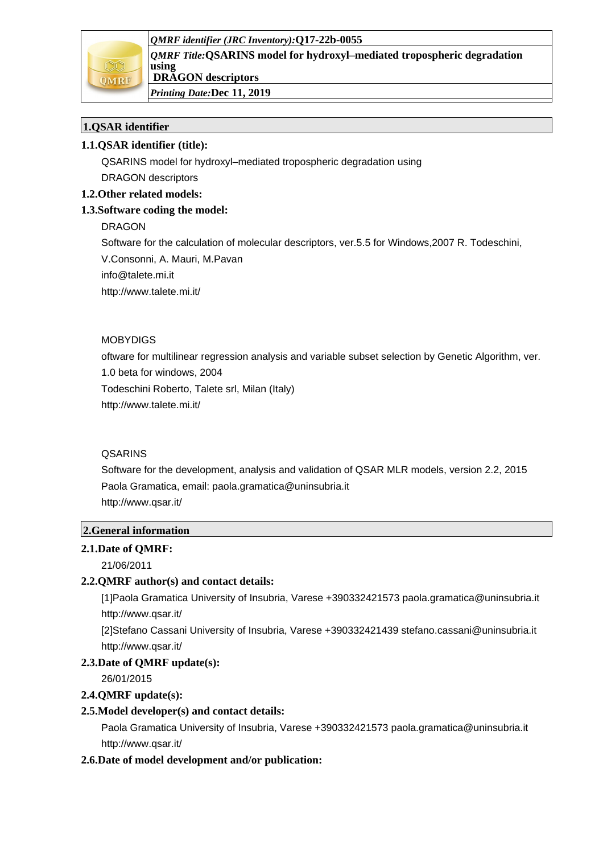



*QMRF Title:***QSARINS model for hydroxyl–mediated tropospheric degradation using DRAGON descriptors**

*Printing Date:***Dec 11, 2019**

# **1.QSAR identifier**

# **1.1.QSAR identifier (title):**

QSARINS model for hydroxyl–mediated tropospheric degradation using DRAGON descriptors

# **1.2.Other related models:**

# **1.3.Software coding the model:**

DRAGON

Software for the calculation of molecular descriptors, ver.5.5 for Windows,2007 R. Todeschini,

V.Consonni, A. Mauri, M.Pavan

info@talete.mi.it

http://www.talete.mi.it/

# MOBYDIGS

oftware for multilinear regression analysis and variable subset selection by Genetic Algorithm, ver.

1.0 beta for windows, 2004

Todeschini Roberto, Talete srl, Milan (Italy)

http://www.talete.mi.it/

# QSARINS

Software for the development, analysis and validation of QSAR MLR models, version 2.2, 2015 Paola Gramatica, email: paola.gramatica@uninsubria.it http://www.qsar.it/

# **2.General information**

# **2.1.Date of QMRF:**

21/06/2011

# **2.2.QMRF author(s) and contact details:**

[1]Paola Gramatica University of Insubria, Varese +390332421573 paola.gramatica@uninsubria.it http://www.qsar.it/

[2]Stefano Cassani University of Insubria, Varese +390332421439 stefano.cassani@uninsubria.it http://www.qsar.it/

### **2.3.Date of QMRF update(s):**

26/01/2015

# **2.4.QMRF update(s):**

# **2.5.Model developer(s) and contact details:**

Paola Gramatica University of Insubria, Varese +390332421573 paola.gramatica@uninsubria.it http://www.qsar.it/

# **2.6.Date of model development and/or publication:**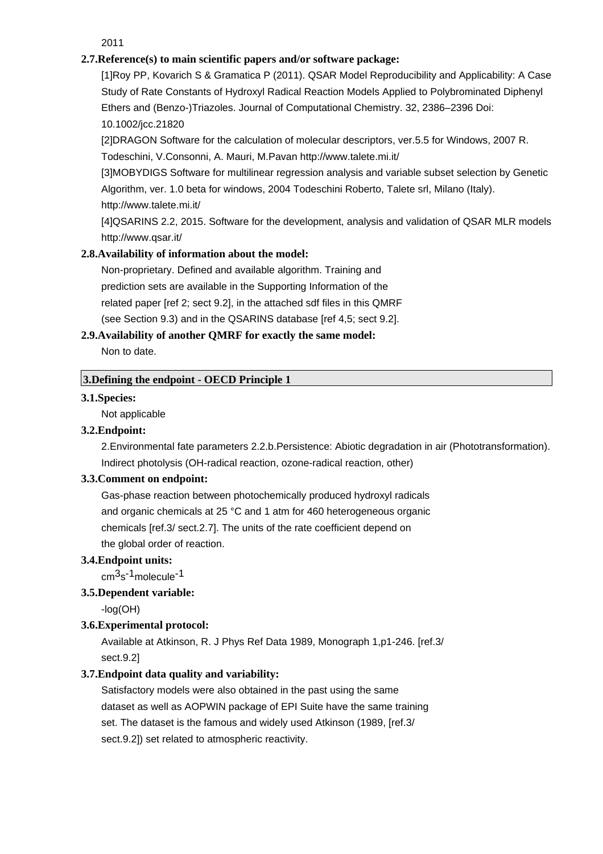2011

### **2.7.Reference(s) to main scientific papers and/or software package:**

[1]Roy PP, Kovarich S & Gramatica P (2011). QSAR Model Reproducibility and Applicability: A Case Study of Rate Constants of Hydroxyl Radical Reaction Models Applied to Polybrominated Diphenyl Ethers and (Benzo-)Triazoles. Journal of Computational Chemistry. 32, 2386–2396 Doi: 10.1002/jcc.21820

[2]DRAGON Software for the calculation of molecular descriptors, ver.5.5 for Windows, 2007 R. Todeschini, V.Consonni, A. Mauri, M.Pavan http://www.talete.mi.it/

[3]MOBYDIGS Software for multilinear regression analysis and variable subset selection by Genetic Algorithm, ver. 1.0 beta for windows, 2004 Todeschini Roberto, Talete srl, Milano (Italy). http://www.talete.mi.it/

[4]QSARINS 2.2, 2015. Software for the development, analysis and validation of QSAR MLR models http://www.qsar.it/

# **2.8.Availability of information about the model:**

Non-proprietary. Defined and available algorithm. Training and prediction sets are available in the Supporting Information of the related paper [ref 2; sect 9.2], in the attached sdf files in this QMRF (see Section 9.3) and in the QSARINS database [ref 4,5; sect 9.2].

# **2.9.Availability of another QMRF for exactly the same model:**

Non to date.

# **3.Defining the endpoint - OECD Principle 1**

### **3.1.Species:**

Not applicable

### **3.2.Endpoint:**

2.Environmental fate parameters 2.2.b.Persistence: Abiotic degradation in air (Phototransformation). Indirect photolysis (OH-radical reaction, ozone-radical reaction, other)

### **3.3.Comment on endpoint:**

Gas-phase reaction between photochemically produced hydroxyl radicals and organic chemicals at 25 °C and 1 atm for 460 heterogeneous organic chemicals [ref.3/ sect.2.7]. The units of the rate coefficient depend on the global order of reaction.

#### **3.4.Endpoint units:**

cm3s -1molecule-1

### **3.5.Dependent variable:**

-log(OH)

### **3.6.Experimental protocol:**

Available at Atkinson, R. J Phys Ref Data 1989, Monograph 1,p1-246. [ref.3/ sect.9.2]

### **3.7.Endpoint data quality and variability:**

Satisfactory models were also obtained in the past using the same dataset as well as AOPWIN package of EPI Suite have the same training set. The dataset is the famous and widely used Atkinson (1989, [ref.3/ sect.9.2]) set related to atmospheric reactivity.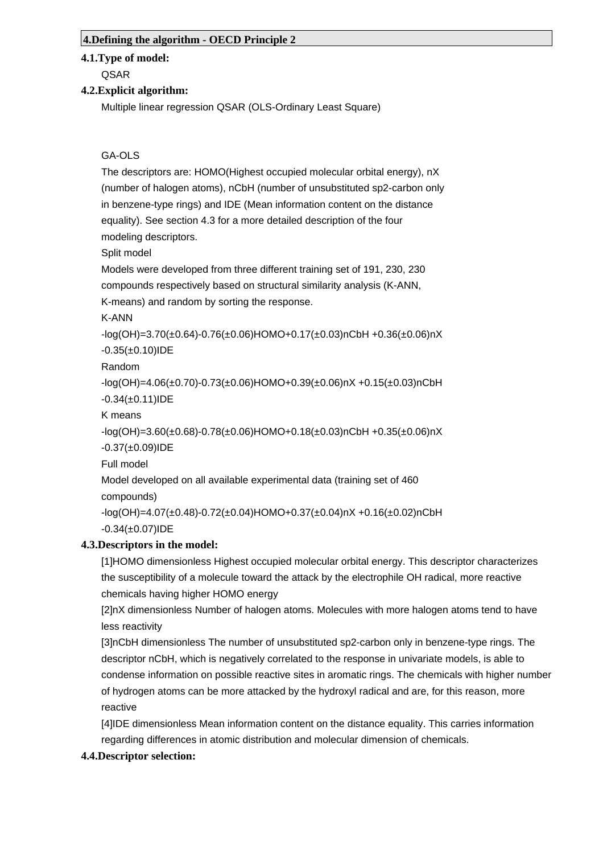#### **4.Defining the algorithm - OECD Principle 2**

#### **4.1.Type of model:**

QSAR

#### **4.2.Explicit algorithm:**

Multiple linear regression QSAR (OLS-Ordinary Least Square)

#### GA-OLS

The descriptors are: HOMO(Highest occupied molecular orbital energy), nX (number of halogen atoms), nCbH (number of unsubstituted sp2-carbon only in benzene-type rings) and IDE (Mean information content on the distance equality). See section 4.3 for a more detailed description of the four modeling descriptors.

Split model

Models were developed from three different training set of 191, 230, 230 compounds respectively based on structural similarity analysis (K-ANN, K-means) and random by sorting the response.

K-ANN

-log(OH)=3.70(±0.64)-0.76(±0.06)HOMO+0.17(±0.03)nCbH +0.36(±0.06)nX  $-0.35(\pm 0.10)$ IDE

Random

-log(OH)=4.06(±0.70)-0.73(±0.06)HOMO+0.39(±0.06)nX +0.15(±0.03)nCbH  $-0.34(\pm 0.11)$ IDE

K means

```
-log(OH)=3.60(±0.68)-0.78(±0.06)HOMO+0.18(±0.03)nCbH +0.35(±0.06)nX
-0.37(±0.09)IDE
```
Full model

Model developed on all available experimental data (training set of 460 compounds)

-log(OH)=4.07(±0.48)-0.72(±0.04)HOMO+0.37(±0.04)nX +0.16(±0.02)nCbH  $-0.34(\pm 0.07)$ IDE

#### **4.3.Descriptors in the model:**

[1]HOMO dimensionless Highest occupied molecular orbital energy. This descriptor characterizes the susceptibility of a molecule toward the attack by the electrophile OH radical, more reactive chemicals having higher HOMO energy

[2]nX dimensionless Number of halogen atoms. Molecules with more halogen atoms tend to have less reactivity

[3]nCbH dimensionless The number of unsubstituted sp2-carbon only in benzene-type rings. The descriptor nCbH, which is negatively correlated to the response in univariate models, is able to condense information on possible reactive sites in aromatic rings. The chemicals with higher number of hydrogen atoms can be more attacked by the hydroxyl radical and are, for this reason, more reactive

[4]IDE dimensionless Mean information content on the distance equality. This carries information regarding differences in atomic distribution and molecular dimension of chemicals.

#### **4.4.Descriptor selection:**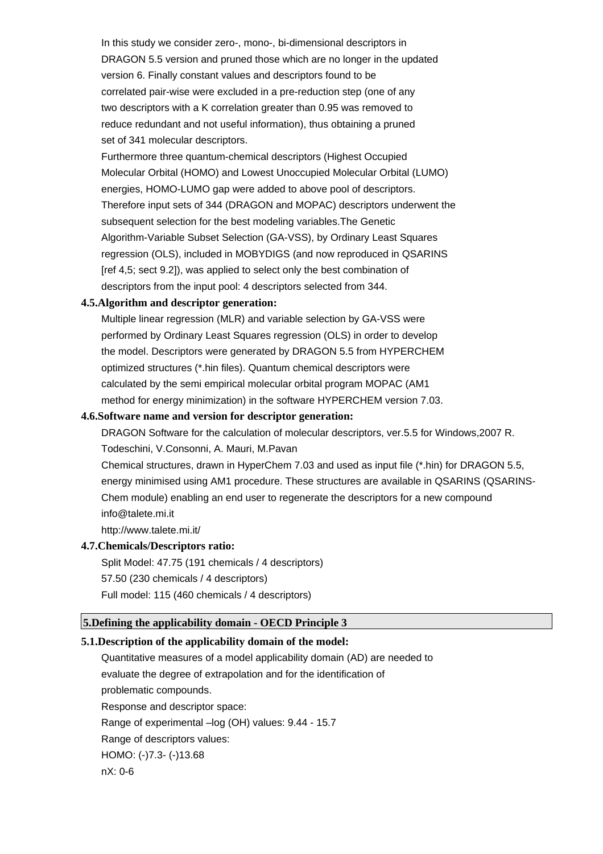In this study we consider zero-, mono-, bi-dimensional descriptors in DRAGON 5.5 version and pruned those which are no longer in the updated version 6. Finally constant values and descriptors found to be correlated pair-wise were excluded in a pre-reduction step (one of any two descriptors with a K correlation greater than 0.95 was removed to reduce redundant and not useful information), thus obtaining a pruned set of 341 molecular descriptors.

Furthermore three quantum-chemical descriptors (Highest Occupied Molecular Orbital (HOMO) and Lowest Unoccupied Molecular Orbital (LUMO) energies, HOMO-LUMO gap were added to above pool of descriptors. Therefore input sets of 344 (DRAGON and MOPAC) descriptors underwent the subsequent selection for the best modeling variables.The Genetic Algorithm-Variable Subset Selection (GA-VSS), by Ordinary Least Squares regression (OLS), included in MOBYDIGS (and now reproduced in QSARINS [ref 4,5; sect 9.2]), was applied to select only the best combination of descriptors from the input pool: 4 descriptors selected from 344.

#### **4.5.Algorithm and descriptor generation:**

Multiple linear regression (MLR) and variable selection by GA-VSS were performed by Ordinary Least Squares regression (OLS) in order to develop the model. Descriptors were generated by DRAGON 5.5 from HYPERCHEM optimized structures (\*.hin files). Quantum chemical descriptors were calculated by the semi empirical molecular orbital program MOPAC (AM1 method for energy minimization) in the software HYPERCHEM version 7.03.

#### **4.6.Software name and version for descriptor generation:**

DRAGON Software for the calculation of molecular descriptors, ver.5.5 for Windows,2007 R. Todeschini, V.Consonni, A. Mauri, M.Pavan

Chemical structures, drawn in HyperChem 7.03 and used as input file (\*.hin) for DRAGON 5.5, energy minimised using AM1 procedure. These structures are available in QSARINS (QSARINS-Chem module) enabling an end user to regenerate the descriptors for a new compound info@talete.mi.it

http://www.talete.mi.it/

#### **4.7.Chemicals/Descriptors ratio:**

Split Model: 47.75 (191 chemicals / 4 descriptors) 57.50 (230 chemicals / 4 descriptors) Full model: 115 (460 chemicals / 4 descriptors)

#### **5.Defining the applicability domain - OECD Principle 3**

#### **5.1.Description of the applicability domain of the model:**

Quantitative measures of a model applicability domain (AD) are needed to evaluate the degree of extrapolation and for the identification of problematic compounds. Response and descriptor space: Range of experimental –log (OH) values: 9.44 - 15.7 Range of descriptors values: HOMO: (-)7.3- (-)13.68 nX: 0-6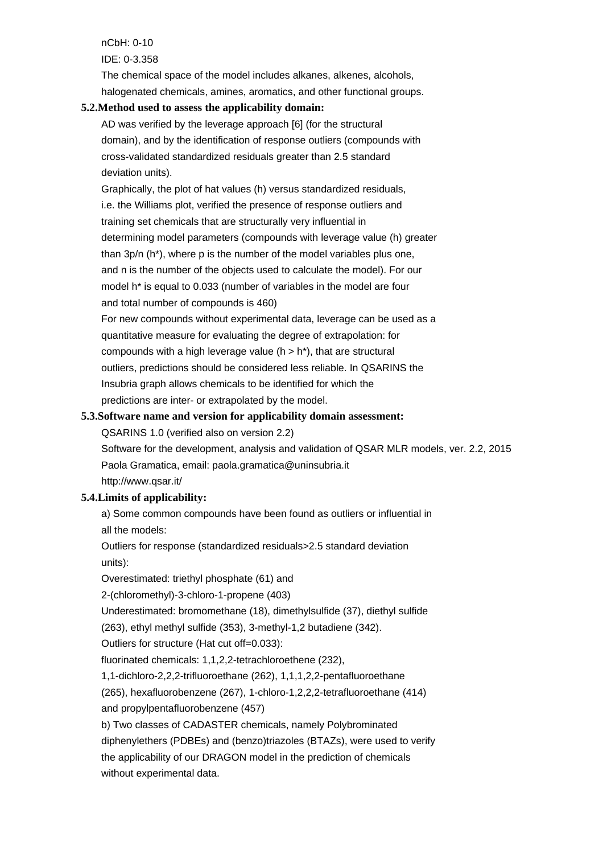nCbH: 0-10 IDE: 0-3.358 The chemical space of the model includes alkanes, alkenes, alcohols, halogenated chemicals, amines, aromatics, and other functional groups.

#### **5.2.Method used to assess the applicability domain:**

AD was verified by the leverage approach [6] (for the structural domain), and by the identification of response outliers (compounds with cross-validated standardized residuals greater than 2.5 standard deviation units).

Graphically, the plot of hat values (h) versus standardized residuals, i.e. the Williams plot, verified the presence of response outliers and training set chemicals that are structurally very influential in determining model parameters (compounds with leverage value (h) greater than 3p/n (h\*), where p is the number of the model variables plus one, and n is the number of the objects used to calculate the model). For our model h\* is equal to 0.033 (number of variables in the model are four and total number of compounds is 460)

For new compounds without experimental data, leverage can be used as a quantitative measure for evaluating the degree of extrapolation: for compounds with a high leverage value ( $h > h^*$ ), that are structural outliers, predictions should be considered less reliable. In QSARINS the Insubria graph allows chemicals to be identified for which the predictions are inter- or extrapolated by the model.

### **5.3.Software name and version for applicability domain assessment:**

QSARINS 1.0 (verified also on version 2.2)

Software for the development, analysis and validation of QSAR MLR models, ver. 2.2, 2015 Paola Gramatica, email: paola.gramatica@uninsubria.it http://www.qsar.it/

### **5.4.Limits of applicability:**

a) Some common compounds have been found as outliers or influential in all the models:

Outliers for response (standardized residuals>2.5 standard deviation units):

Overestimated: triethyl phosphate (61) and

2-(chloromethyl)-3-chloro-1-propene (403)

Underestimated: bromomethane (18), dimethylsulfide (37), diethyl sulfide

(263), ethyl methyl sulfide (353), 3-methyl-1,2 butadiene (342).

Outliers for structure (Hat cut off=0.033):

fluorinated chemicals: 1,1,2,2-tetrachloroethene (232),

1,1-dichloro-2,2,2-trifluoroethane (262), 1,1,1,2,2-pentafluoroethane

(265), hexafluorobenzene (267), 1-chloro-1,2,2,2-tetrafluoroethane (414) and propylpentafluorobenzene (457)

b) Two classes of CADASTER chemicals, namely Polybrominated diphenylethers (PDBEs) and (benzo)triazoles (BTAZs), were used to verify the applicability of our DRAGON model in the prediction of chemicals without experimental data.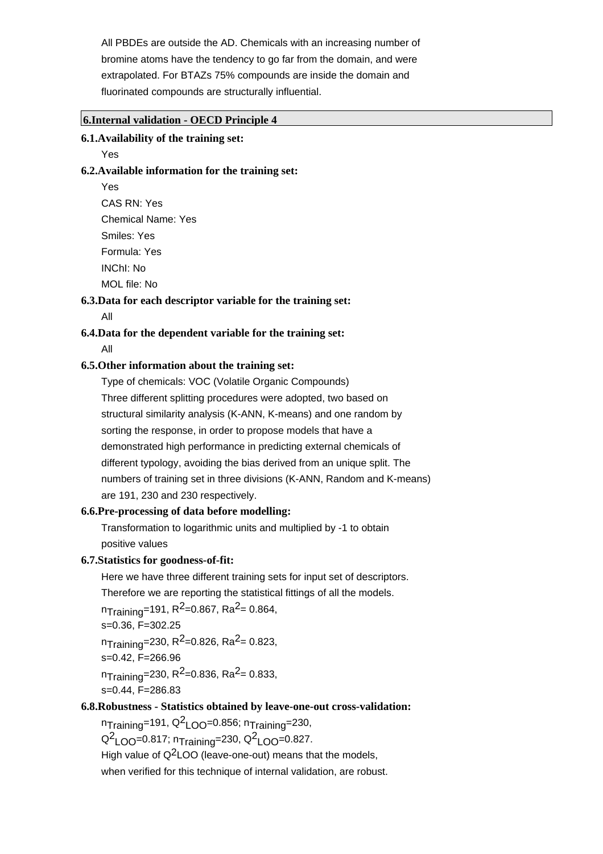All PBDEs are outside the AD. Chemicals with an increasing number of bromine atoms have the tendency to go far from the domain, and were extrapolated. For BTAZs 75% compounds are inside the domain and fluorinated compounds are structurally influential.

#### **6.Internal validation - OECD Principle 4**

#### **6.1.Availability of the training set:**

Yes

#### **6.2.Available information for the training set:**

Yes CAS RN: Yes Chemical Name: Yes Smiles: Yes Formula: Yes INChI: No MOL file: No

#### **6.3.Data for each descriptor variable for the training set:**

All

### **6.4.Data for the dependent variable for the training set:**

All

#### **6.5.Other information about the training set:**

Type of chemicals: VOC (Volatile Organic Compounds) Three different splitting procedures were adopted, two based on structural similarity analysis (K-ANN, K-means) and one random by sorting the response, in order to propose models that have a demonstrated high performance in predicting external chemicals of different typology, avoiding the bias derived from an unique split. The numbers of training set in three divisions (K-ANN, Random and K-means) are 191, 230 and 230 respectively.

#### **6.6.Pre-processing of data before modelling:**

Transformation to logarithmic units and multiplied by -1 to obtain positive values

#### **6.7.Statistics for goodness-of-fit:**

Here we have three different training sets for input set of descriptors. Therefore we are reporting the statistical fittings of all the models.

 $n_{\text{Training}}$ =191, R<sup>2</sup>=0.867, Ra<sup>2</sup>= 0.864,

s=0.36, F=302.25

 $n_{\text{Training}}$ =230, R<sup>2</sup>=0.826, Ra<sup>2</sup>= 0.823, s=0.42, F=266.96  $n_{\text{Training}}$ =230, R<sup>2</sup>=0.836, Ra<sup>2</sup>= 0.833,

s=0.44, F=286.83

# **6.8.Robustness - Statistics obtained by leave-one-out cross-validation:**

 $n_{\sf Training}$ =191, Q $^2$ LOO=0.856;  $n_{\sf Training}$ =230,  $Q^2$ <sub>LOO</sub>=0.817; n<sub>Training</sub>=230,  $Q^2$ <sub>LOO</sub>=0.827. High value of  $Q^2$ LOO (leave-one-out) means that the models, when verified for this technique of internal validation, are robust.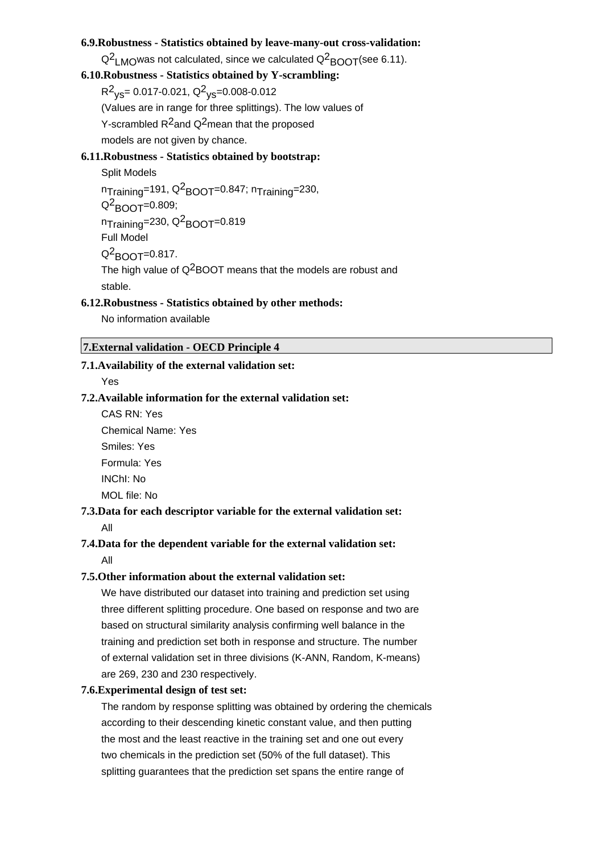#### **6.9.Robustness - Statistics obtained by leave-many-out cross-validation:**

 $\mathsf{Q}^2$ <sub>LMO</sub>was not calculated, since we calculated  $\mathsf{Q}^2$ <sub>BOOT</sub>(see 6.11).

# **6.10.Robustness - Statistics obtained by Y-scrambling:**

 $R^{2}$ <sub>ys</sub>= 0.017-0.021, Q<sup>2</sup><sub>ys</sub>=0.008-0.012

(Values are in range for three splittings). The low values of

Y-scrambled  $R^2$ and Q<sup>2</sup>mean that the proposed

models are not given by chance.

#### **6.11.Robustness - Statistics obtained by bootstrap:**

Split Models  $n_{\sf Training}$ =191, Q $^2$ BOOT=0.847;  $n_{\sf Training}$ =230,  $Q^2$ BOOT=0.809; n<sub>Training</sub>=230, Q<sup>2</sup>BOOT=0.819 Full Model Q<sup>2</sup>BOOT=0.817. The high value of  $Q^2$ BOOT means that the models are robust and stable.

#### **6.12.Robustness - Statistics obtained by other methods:**

No information available

### **7.External validation - OECD Principle 4**

#### **7.1.Availability of the external validation set:**

Yes

#### **7.2.Available information for the external validation set:**

CAS RN: Yes Chemical Name: Yes Smiles: Yes Formula: Yes INChI: No MOL file: No

#### **7.3.Data for each descriptor variable for the external validation set:** All

### **7.4.Data for the dependent variable for the external validation set:**

All

#### **7.5.Other information about the external validation set:**

We have distributed our dataset into training and prediction set using three different splitting procedure. One based on response and two are based on structural similarity analysis confirming well balance in the training and prediction set both in response and structure. The number of external validation set in three divisions (K-ANN, Random, K-means) are 269, 230 and 230 respectively.

#### **7.6.Experimental design of test set:**

The random by response splitting was obtained by ordering the chemicals according to their descending kinetic constant value, and then putting the most and the least reactive in the training set and one out every two chemicals in the prediction set (50% of the full dataset). This splitting guarantees that the prediction set spans the entire range of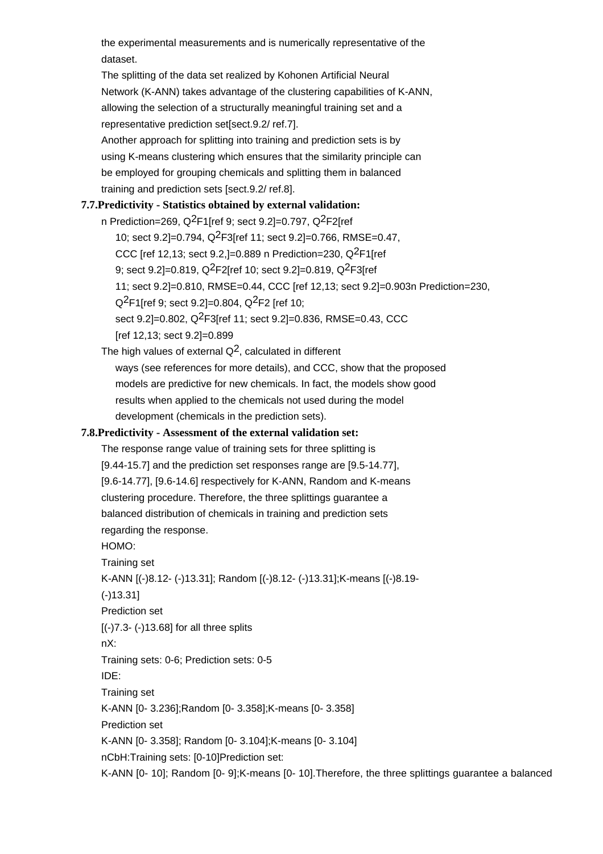the experimental measurements and is numerically representative of the dataset.

The splitting of the data set realized by Kohonen Artificial Neural Network (K-ANN) takes advantage of the clustering capabilities of K-ANN, allowing the selection of a structurally meaningful training set and a representative prediction set[sect.9.2/ ref.7]. Another approach for splitting into training and prediction sets is by

using K-means clustering which ensures that the similarity principle can be employed for grouping chemicals and splitting them in balanced training and prediction sets [sect.9.2/ ref.8].

# **7.7.Predictivity - Statistics obtained by external validation:**

n Prediction=269,  $Q^2F1$ [ref 9; sect 9.2]=0.797,  $Q^2F2$ [ref 10; sect 9.2]=0.794, Q2F3[ref 11; sect 9.2]=0.766, RMSE=0.47, CCC [ref 12,13; sect 9.2,]=0.889 n Prediction=230,  $Q^2F1$ [ref 9; sect 9.2]=0.819, Q<sup>2</sup>F2[ref 10; sect 9.2]=0.819, Q<sup>2</sup>F3[ref 11; sect 9.2]=0.810, RMSE=0.44, CCC [ref 12,13; sect 9.2]=0.903n Prediction=230,  $Q^2$ F1[ref 9; sect 9.2]=0.804,  $Q^2$ F2 [ref 10; sect 9.2]=0.802, Q2F3[ref 11; sect 9.2]=0.836, RMSE=0.43, CCC [ref 12,13; sect 9.2]=0.899

The high values of external  $Q^2$ , calculated in different ways (see references for more details), and CCC, show that the proposed models are predictive for new chemicals. In fact, the models show good results when applied to the chemicals not used during the model development (chemicals in the prediction sets).

### **7.8.Predictivity - Assessment of the external validation set:**

The response range value of training sets for three splitting is [9.44-15.7] and the prediction set responses range are [9.5-14.77], [9.6-14.77], [9.6-14.6] respectively for K-ANN, Random and K-means clustering procedure. Therefore, the three splittings guarantee a balanced distribution of chemicals in training and prediction sets regarding the response. HOMO:

Training set

```
K-ANN [(-)8.12- (-)13.31]; Random [(-)8.12- (-)13.31];K-means [(-)8.19-
```
(-)13.31]

Prediction set

[(-)7.3- (-)13.68] for all three splits

nX:

Training sets: 0-6; Prediction sets: 0-5

IDE:

Training set

K-ANN [0- 3.236];Random [0- 3.358];K-means [0- 3.358]

Prediction set

K-ANN [0- 3.358]; Random [0- 3.104];K-means [0- 3.104]

nCbH:Training sets: [0-10]Prediction set:

K-ANN [0- 10]; Random [0- 9];K-means [0- 10].Therefore, the three splittings guarantee a balanced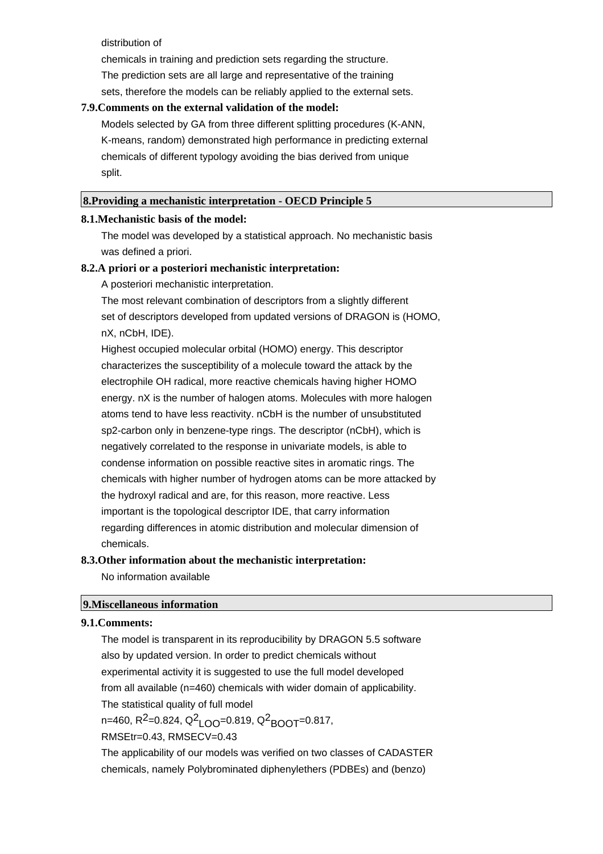distribution of

chemicals in training and prediction sets regarding the structure. The prediction sets are all large and representative of the training sets, therefore the models can be reliably applied to the external sets.

#### **7.9.Comments on the external validation of the model:**

Models selected by GA from three different splitting procedures (K-ANN, K-means, random) demonstrated high performance in predicting external chemicals of different typology avoiding the bias derived from unique split.

#### **8.Providing a mechanistic interpretation - OECD Principle 5**

#### **8.1.Mechanistic basis of the model:**

The model was developed by a statistical approach. No mechanistic basis was defined a priori.

#### **8.2.A priori or a posteriori mechanistic interpretation:**

A posteriori mechanistic interpretation.

The most relevant combination of descriptors from a slightly different set of descriptors developed from updated versions of DRAGON is (HOMO, nX, nCbH, IDE).

Highest occupied molecular orbital (HOMO) energy. This descriptor characterizes the susceptibility of a molecule toward the attack by the electrophile OH radical, more reactive chemicals having higher HOMO energy. nX is the number of halogen atoms. Molecules with more halogen atoms tend to have less reactivity. nCbH is the number of unsubstituted sp2-carbon only in benzene-type rings. The descriptor (nCbH), which is negatively correlated to the response in univariate models, is able to condense information on possible reactive sites in aromatic rings. The chemicals with higher number of hydrogen atoms can be more attacked by the hydroxyl radical and are, for this reason, more reactive. Less important is the topological descriptor IDE, that carry information regarding differences in atomic distribution and molecular dimension of chemicals.

# **8.3.Other information about the mechanistic interpretation:** No information available

### **9.Miscellaneous information**

#### **9.1.Comments:**

The model is transparent in its reproducibility by DRAGON 5.5 software also by updated version. In order to predict chemicals without experimental activity it is suggested to use the full model developed from all available (n=460) chemicals with wider domain of applicability. The statistical quality of full model n=460, R<sup>2</sup>=0.824, Q<sup>2</sup><sub>LOO</sub>=0.819, Q<sup>2</sup><sub>BOOT</sub>=0.817, RMSEtr=0.43, RMSECV=0.43 The applicability of our models was verified on two classes of CADASTER

chemicals, namely Polybrominated diphenylethers (PDBEs) and (benzo)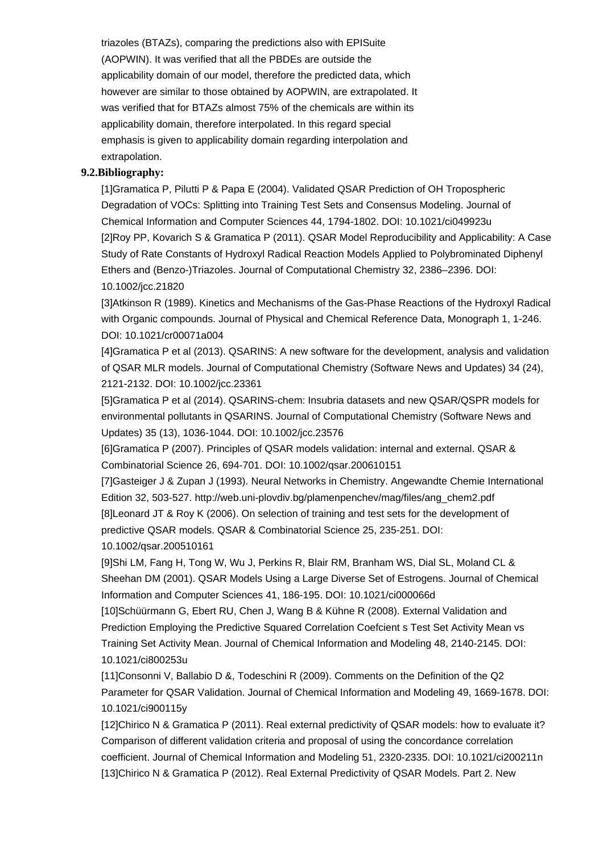triazoles (BTAZs), comparing the predictions also with EPISuite (AOPWIN). It was verified that all the PBDEs are outside the applicability domain of our model, therefore the predicted data, which however are similar to those obtained by AOPWIN, are extrapolated. It was verified that for BTAZs almost 75% of the chemicals are within its applicability domain, therefore interpolated. In this regard special emphasis is given to applicability domain regarding interpolation and extrapolation.

#### **9.2.Bibliography:**

[1]Gramatica P, Pilutti P & Papa E (2004). Validated QSAR Prediction of OH Tropospheric Degradation of VOCs: Splitting into Training Test Sets and Consensus Modeling. Journal of Chemical Information and Computer Sciences 44, 1794-1802. DOI: 10.1021/ci049923u [2]Roy PP, Kovarich S & Gramatica P (2011). QSAR Model Reproducibility and Applicability: A Case Study of Rate Constants of Hydroxyl Radical Reaction Models Applied to Polybrominated Diphenyl Ethers and (Benzo-)Triazoles. Journal of Computational Chemistry 32, 2386–2396. DOI: 10.1002/jcc.21820

[3]Atkinson R (1989). Kinetics and Mechanisms of the Gas-Phase Reactions of the Hydroxyl Radical with Organic compounds. Journal of Physical and Chemical Reference Data, Monograph 1, 1-246. DOI: 10.1021/cr00071a004

[4]Gramatica P et al (2013). QSARINS: A new software for the development, analysis and validation of QSAR MLR models. Journal of Computational Chemistry (Software News and Updates) 34 (24), 2121-2132. DOI: 10.1002/jcc.23361

[5]Gramatica P et al (2014). QSARINS-chem: Insubria datasets and new QSAR/QSPR models for environmental pollutants in QSARINS. Journal of Computational Chemistry (Software News and Updates) 35 (13), 1036-1044. DOI: 10.1002/jcc.23576

[6]Gramatica P (2007). Principles of QSAR models validation: internal and external. QSAR & Combinatorial Science 26, 694-701. DOI: 10.1002/qsar.200610151

[7]Gasteiger J & Zupan J (1993). Neural Networks in Chemistry. Angewandte Chemie International Edition 32, 503-527. http://web.uni-plovdiv.bg/plamenpenchev/mag/files/ang\_chem2.pdf [8]Leonard JT & Roy K (2006). On selection of training and test sets for the development of predictive QSAR models. QSAR & Combinatorial Science 25, 235-251. DOI: 10.1002/qsar.200510161

[9]Shi LM, Fang H, Tong W, Wu J, Perkins R, Blair RM, Branham WS, Dial SL, Moland CL & Sheehan DM (2001). QSAR Models Using a Large Diverse Set of Estrogens. Journal of Chemical Information and Computer Sciences 41, 186-195. DOI: 10.1021/ci000066d

[10]Schüürmann G, Ebert RU, Chen J, Wang B & Kühne R (2008). External Validation and Prediction Employing the Predictive Squared Correlation Coefcient s Test Set Activity Mean vs Training Set Activity Mean. Journal of Chemical Information and Modeling 48, 2140-2145. DOI: 10.1021/ci800253u

[11]Consonni V, Ballabio D &, Todeschini R (2009). Comments on the Definition of the Q2 Parameter for QSAR Validation. Journal of Chemical Information and Modeling 49, 1669-1678. DOI: 10.1021/ci900115y

[12]Chirico N & Gramatica P (2011). Real external predictivity of QSAR models: how to evaluate it? Comparison of different validation criteria and proposal of using the concordance correlation coefficient. Journal of Chemical Information and Modeling 51, 2320-2335. DOI: 10.1021/ci200211n [13]Chirico N & Gramatica P (2012). Real External Predictivity of QSAR Models. Part 2. New